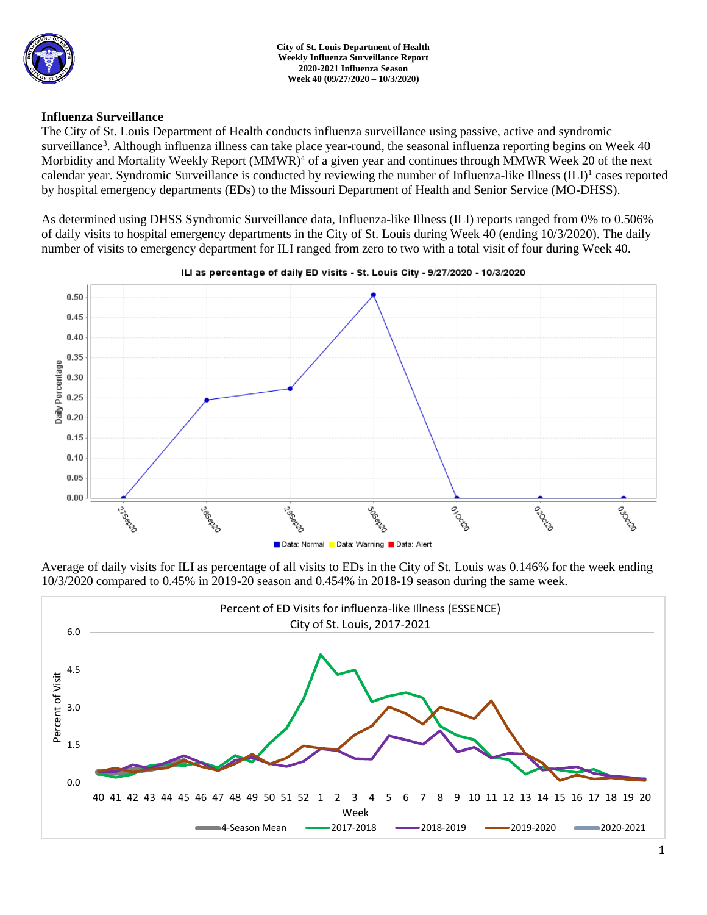

# **Influenza Surveillance**

The City of St. Louis Department of Health conducts influenza surveillance using passive, active and syndromic surveillance<sup>3</sup>. Although influenza illness can take place year-round, the seasonal influenza reporting begins on Week 40 Morbidity and Mortality Weekly Report (MMWR)<sup>4</sup> of a given year and continues through MMWR Week 20 of the next calendar year. Syndromic Surveillance is conducted by reviewing the number of Influenza-like Illness (ILI)<sup>1</sup> cases reported by hospital emergency departments (EDs) to the Missouri Department of Health and Senior Service (MO-DHSS).

As determined using DHSS Syndromic Surveillance data, Influenza-like Illness (ILI) reports ranged from 0% to 0.506% of daily visits to hospital emergency departments in the City of St. Louis during Week 40 (ending 10/3/2020). The daily number of visits to emergency department for ILI ranged from zero to two with a total visit of four during Week 40.



ILI as percentage of daily ED visits - St. Louis City - 9/27/2020 - 10/3/2020

Average of daily visits for ILI as percentage of all visits to EDs in the City of St. Louis was 0.146% for the week ending 10/3/2020 compared to 0.45% in 2019-20 season and 0.454% in 2018-19 season during the same week.

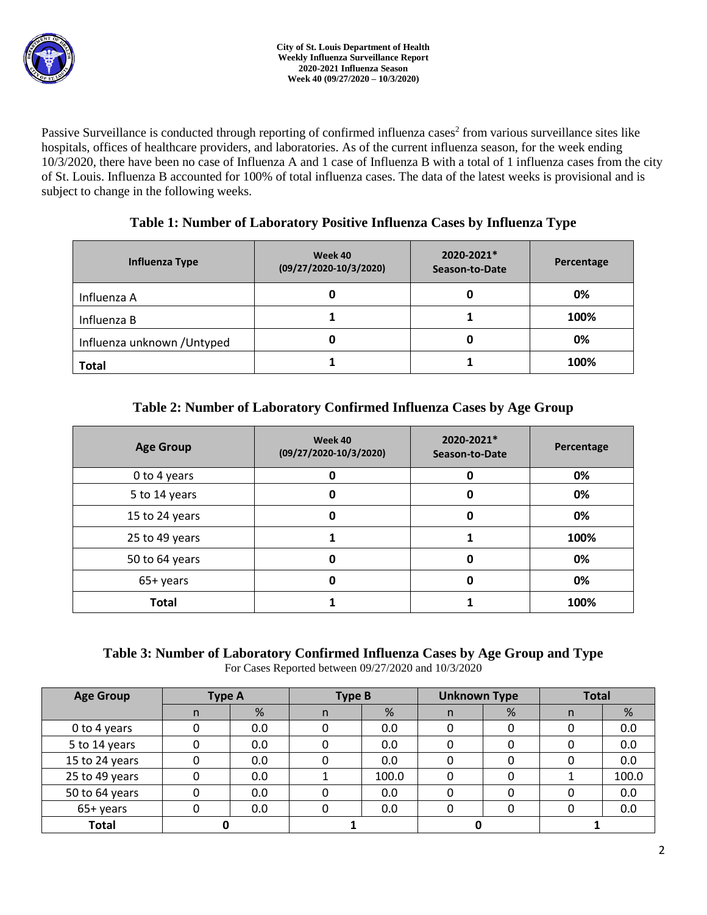

Passive Surveillance is conducted through reporting of confirmed influenza cases<sup>2</sup> from various surveillance sites like hospitals, offices of healthcare providers, and laboratories. As of the current influenza season, for the week ending 10/3/2020, there have been no case of Influenza A and 1 case of Influenza B with a total of 1 influenza cases from the city of St. Louis. Influenza B accounted for 100% of total influenza cases. The data of the latest weeks is provisional and is subject to change in the following weeks.

|  | Table 1: Number of Laboratory Positive Influenza Cases by Influenza Type |
|--|--------------------------------------------------------------------------|
|--|--------------------------------------------------------------------------|

| Influenza Type              | Week 40<br>$(09/27/2020-10/3/2020)$ | 2020-2021*<br>Season-to-Date | Percentage |
|-----------------------------|-------------------------------------|------------------------------|------------|
| Influenza A                 | 0                                   | O                            | 0%         |
| Influenza B                 |                                     |                              | 100%       |
| Influenza unknown / Untyped | 0                                   | 0                            | 0%         |
| <b>Total</b>                |                                     |                              | 100%       |

# **Table 2: Number of Laboratory Confirmed Influenza Cases by Age Group**

| <b>Age Group</b> | 2020-2021*<br>Week 40<br>$(09/27/2020-10/3/2020)$<br>Season-to-Date |   | Percentage |
|------------------|---------------------------------------------------------------------|---|------------|
| 0 to 4 years     | 0                                                                   |   | 0%         |
| 5 to 14 years    | 0                                                                   | 0 | 0%         |
| 15 to 24 years   | 0                                                                   | 0 | 0%         |
| 25 to 49 years   |                                                                     |   | 100%       |
| 50 to 64 years   | 0                                                                   | 0 | 0%         |
| 65+ years        | 0<br>0                                                              |   | 0%         |
| <b>Total</b>     |                                                                     |   | 100%       |

## **Table 3: Number of Laboratory Confirmed Influenza Cases by Age Group and Type** For Cases Reported between 09/27/2020 and 10/3/2020

| <b>Age Group</b> | <b>Type A</b> |     | <b>Type B</b> |       | <b>Unknown Type</b> |   | <b>Total</b> |       |
|------------------|---------------|-----|---------------|-------|---------------------|---|--------------|-------|
|                  | n             | %   | n             | %     | n.                  | % | n            | %     |
| 0 to 4 years     |               | 0.0 | 0             | 0.0   |                     |   |              | 0.0   |
| 5 to 14 years    |               | 0.0 |               | 0.0   |                     |   |              | 0.0   |
| 15 to 24 years   | 0             | 0.0 |               | 0.0   |                     |   |              | 0.0   |
| 25 to 49 years   | 0             | 0.0 |               | 100.0 | 0                   |   |              | 100.0 |
| 50 to 64 years   | 0             | 0.0 | 0             | 0.0   |                     |   |              | 0.0   |
| 65+ years        |               | 0.0 |               | 0.0   |                     |   |              | 0.0   |
| <b>Total</b>     |               |     |               |       |                     |   |              |       |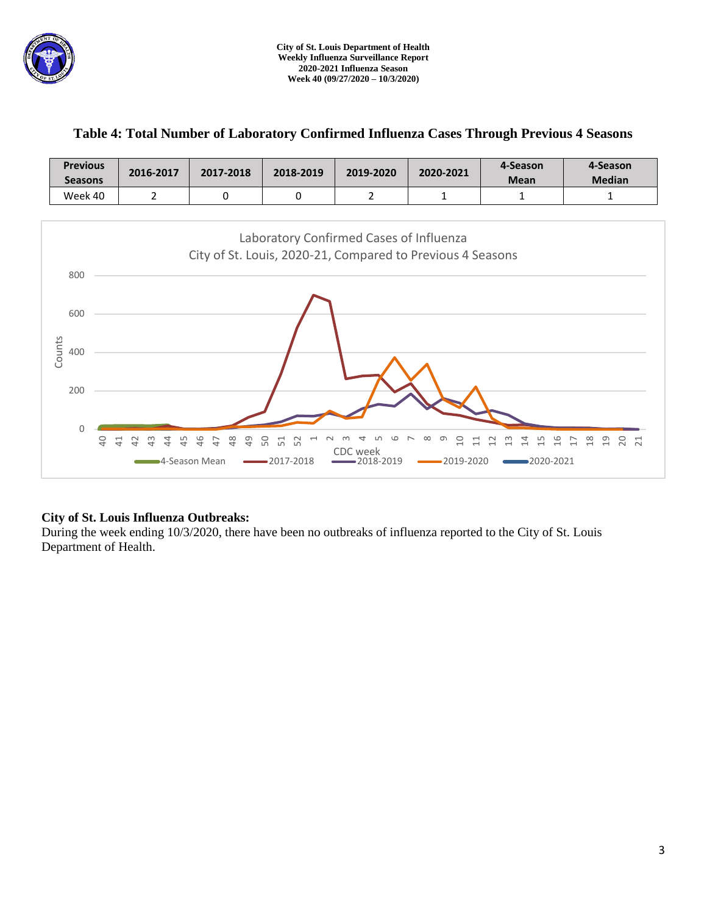

# **Table 4: Total Number of Laboratory Confirmed Influenza Cases Through Previous 4 Seasons**

| <b>Previous</b><br><b>Seasons</b> | 2016-2017 | 2017-2018 | 2018-2019 | 2019-2020 | 2020-2021 | 4-Season<br><b>Mean</b> | 4-Season<br><b>Median</b> |
|-----------------------------------|-----------|-----------|-----------|-----------|-----------|-------------------------|---------------------------|
| Week 40                           |           |           |           |           |           |                         |                           |



# **City of St. Louis Influenza Outbreaks:**

During the week ending 10/3/2020, there have been no outbreaks of influenza reported to the City of St. Louis Department of Health.